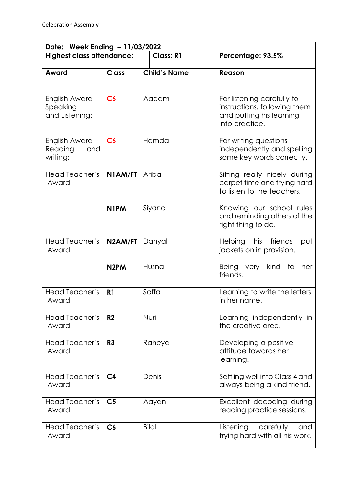| Date: Week Ending - 11/03/2022              |                              |                     |                                                                                                                       |  |  |
|---------------------------------------------|------------------------------|---------------------|-----------------------------------------------------------------------------------------------------------------------|--|--|
| <b>Highest class attendance:</b>            |                              | <b>Class: R1</b>    | Percentage: 93.5%                                                                                                     |  |  |
| Award                                       | <b>Class</b>                 | <b>Child's Name</b> | Reason                                                                                                                |  |  |
| English Award<br>Speaking<br>and Listening: | C6                           | Aadam               | For listening carefully to<br>instructions, following them<br>and putting his learning<br>into practice.              |  |  |
| English Award<br>Reading<br>and<br>writing: | C6                           | Hamda               | For writing questions<br>independently and spelling<br>some key words correctly.                                      |  |  |
| <b>Head Teacher's</b><br>Award              | N1AM/FT<br>N <sub>1</sub> PM | Ariba<br>Siyana     | Sitting really nicely during<br>carpet time and trying hard<br>to listen to the teachers.<br>Knowing our school rules |  |  |
|                                             |                              |                     | and reminding others of the<br>right thing to do.                                                                     |  |  |
| Head Teacher's<br>Award                     | N2AM/FT                      | Danyal              | his friends<br>Helping<br>put<br>jackets on in provision.                                                             |  |  |
|                                             | N <sub>2</sub> PM            | Husna               | kind to<br>Being very<br>her<br>friends.                                                                              |  |  |
| Head Teacher's<br>Award                     | R <sub>1</sub>               | Saffa               | Learning to write the letters<br>in her name.                                                                         |  |  |
| <b>Head Teacher's</b><br>Award              | R <sub>2</sub>               | Nuri                | Learning independently in<br>the creative area.                                                                       |  |  |
| Head Teacher's<br>Award                     | R <sub>3</sub>               | Raheya              | Developing a positive<br>attitude towards her<br>learning.                                                            |  |  |
| Head Teacher's<br>Award                     | C <sub>4</sub>               | Denis               | Settling well into Class 4 and<br>always being a kind friend.                                                         |  |  |
| Head Teacher's<br>Award                     | C <sub>5</sub>               | Aayan               | Excellent decoding during<br>reading practice sessions.                                                               |  |  |
| Head Teacher's<br>Award                     | C6                           | <b>Bilal</b>        | Listening<br>carefully<br>and<br>trying hard with all his work.                                                       |  |  |